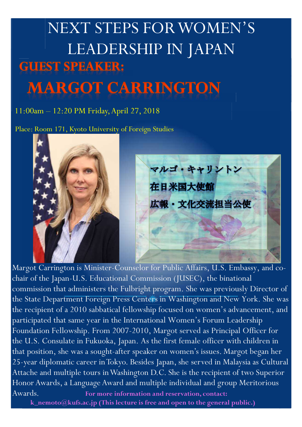## NEXT STEPS FOR WOMEN'S LEADERSHIP IN JAPAN **GUEST SPEAKER: MARGOT CARRINGTON**

11:00am – 12:20 PM Friday, April 27, 2018

Place: Room 171, Kyoto University of Foreign Studies



Margot Carrington is Minister-Counselor for Public Affairs, U.S. Embassy, and cochair of the Japan-U.S. Educational Commission (JUSEC), the binational commission that administers the Fulbright program. She was previously Director of the State Department Foreign Press Centers in Washington and New York. She was the recipient of a 2010 sabbatical fellowship focused on women's advancement, and participated that same year in the International Women's Forum Leadership Foundation Fellowship. From 2007-2010, Margot served as Principal Officer for the U.S. Consulate in Fukuoka, Japan. As the first female officer with children in that position, she was a sought-after speaker on women's issues. Margot began her 25-year diplomatic career in Tokyo. Besides Japan, she served in Malaysia as Cultural Attache and multiple tours in Washington D.C. She is the recipient of two Superior Honor Awards, a Language Award and multiple individual and group Meritorious Awards. **For more information and reservation, contact:** 

 **k\_nemoto@kufs.ac.jp (This lecture is free and open to the general public.)**